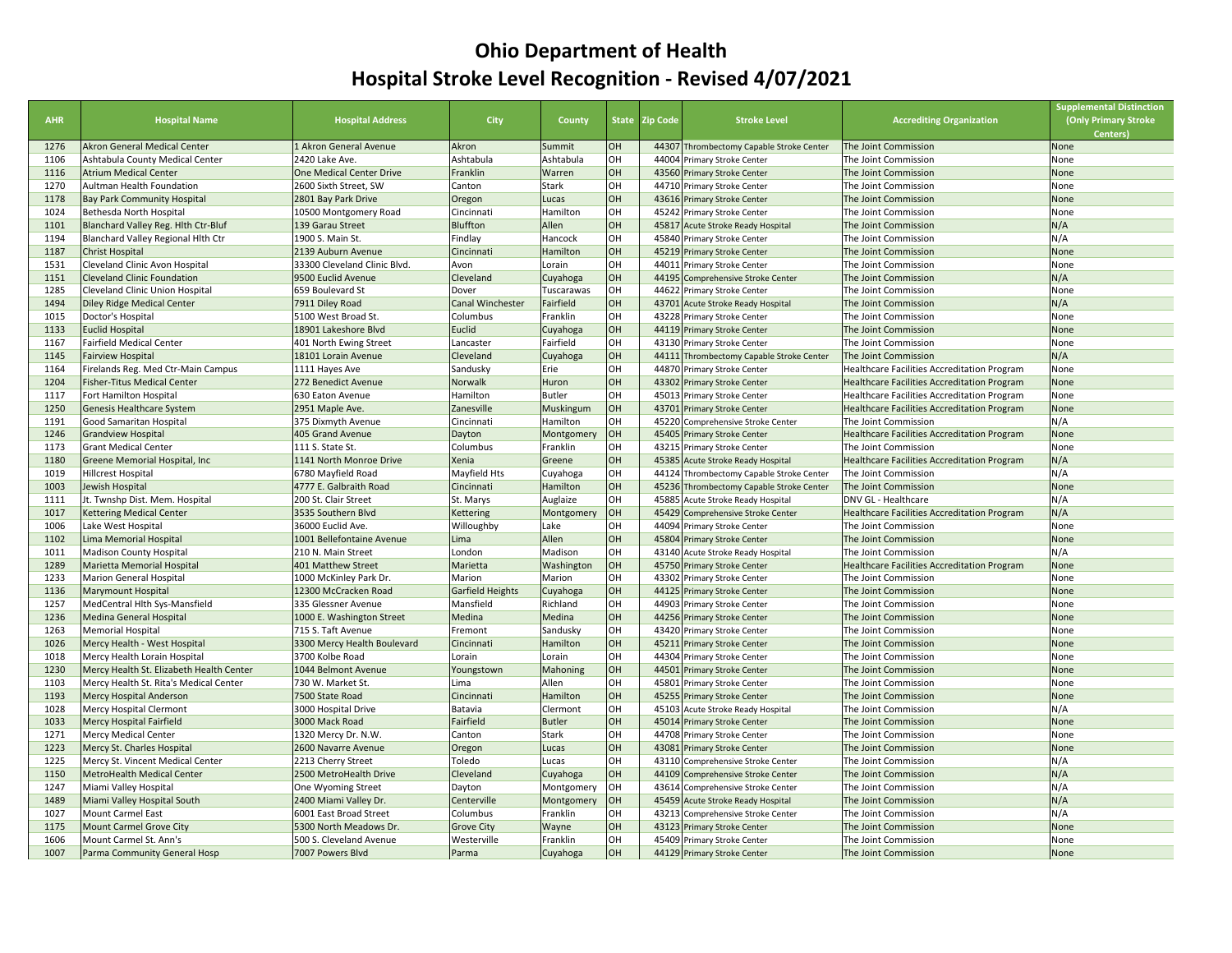## **Ohio Department of Health Hospital Stroke Level Recognition ‐ Revised 4/07/2021**

| <b>AHR</b>   | <b>Hospital Name</b>                                              | <b>Hospital Address</b>                 | <b>City</b>             | County                 |          | State Zip Code | <b>Stroke Level</b>                                              | <b>Accrediting Organization</b>                                    | <b>Supplemental Distinction</b><br>(Only Primary Stroke<br>Centers) |
|--------------|-------------------------------------------------------------------|-----------------------------------------|-------------------------|------------------------|----------|----------------|------------------------------------------------------------------|--------------------------------------------------------------------|---------------------------------------------------------------------|
| 1276         | Akron General Medical Center                                      | 1 Akron General Avenue                  | Akron                   | Summit                 | OH       |                | 44307 Thrombectomy Capable Stroke Center                         | The Joint Commission                                               | None                                                                |
| 1106         | Ashtabula County Medical Center                                   | 2420 Lake Ave.                          | Ashtabula               | Ashtabula              | OH       |                | 44004 Primary Stroke Center                                      | The Joint Commission                                               | None                                                                |
| 1116         | <b>Atrium Medical Center</b>                                      | One Medical Center Drive                | Franklin                | Warren                 | OH       |                | 43560 Primary Stroke Center                                      | The Joint Commission                                               | None                                                                |
| 1270         | Aultman Health Foundation                                         | 2600 Sixth Street, SW                   | Canton                  | Stark                  | OH       |                | 44710 Primary Stroke Center                                      | The Joint Commission                                               | None                                                                |
| 1178         | <b>Bay Park Community Hospital</b>                                | 2801 Bay Park Drive                     | Oregon                  | Lucas                  | OH       |                | 43616 Primary Stroke Center                                      | The Joint Commission                                               | None                                                                |
| 1024         | Bethesda North Hospital                                           | 10500 Montgomery Road                   | Cincinnati              | Hamilton               | OH       |                | 45242 Primary Stroke Center                                      | The Joint Commission                                               | None                                                                |
| 1101         | Blanchard Valley Reg. Hith Ctr-Bluf                               | 139 Garau Street                        | <b>Bluffton</b>         | Allen                  | OH       |                | 45817 Acute Stroke Ready Hospital                                | The Joint Commission                                               | N/A                                                                 |
| 1194         | Blanchard Valley Regional Hith Ctr                                | 1900 S. Main St.                        | Findlay                 | Hancock                | OH       |                | 45840 Primary Stroke Center                                      | The Joint Commission                                               | N/A                                                                 |
| 1187         | <b>Christ Hospital</b>                                            | 2139 Auburn Avenue                      | Cincinnati              | Hamilton               | OH       |                | 45219 Primary Stroke Center                                      | The Joint Commission                                               | None                                                                |
| 1531         | Cleveland Clinic Avon Hospital                                    | 33300 Cleveland Clinic Blvd.            | Avon                    | Lorain                 | OH       |                | 44011 Primary Stroke Center                                      | The Joint Commission                                               | None                                                                |
| 1151         | <b>Cleveland Clinic Foundation</b>                                | 9500 Euclid Avenue                      | Cleveland               | Cuyahoga               | OH       | 44195          | Comprehensive Stroke Center                                      | The Joint Commission                                               | N/A                                                                 |
| 1285         | Cleveland Clinic Union Hospital                                   | 659 Boulevard St                        | Dover                   | Tuscarawas             | OH       | 44622          | <b>Primary Stroke Center</b>                                     | The Joint Commission                                               | None                                                                |
| 1494         | Diley Ridge Medical Center                                        | 7911 Diley Road                         | Canal Winchester        | Fairfield              | OH       |                | 43701 Acute Stroke Ready Hospital                                | The Joint Commission                                               | N/A                                                                 |
| 1015         | Doctor's Hospital                                                 | 5100 West Broad St.                     | Columbus                | Franklin               | OH       |                | 43228 Primary Stroke Center                                      | The Joint Commission                                               | None                                                                |
| 1133         | <b>Euclid Hospital</b>                                            | 18901 Lakeshore Blvd                    | Euclid                  | Cuyahoga               | OH       |                | 44119 Primary Stroke Center                                      | The Joint Commission                                               | None                                                                |
| 1167         | <b>Fairfield Medical Center</b>                                   | 401 North Ewing Street                  | Lancaster               | Fairfield              | OH       |                | 43130 Primary Stroke Center                                      | The Joint Commission                                               | None                                                                |
| 1145         | <b>Fairview Hospital</b>                                          | 18101 Lorain Avenue                     | Cleveland               | Cuyahoga               | OH       |                | 44111 Thrombectomy Capable Stroke Center                         | The Joint Commission                                               | N/A                                                                 |
| 1164         | Firelands Reg. Med Ctr-Main Campus                                | 1111 Hayes Ave                          | Sandusky                | Erie                   | OH       |                | 44870 Primary Stroke Center                                      | Healthcare Facilities Accreditation Program                        | None                                                                |
| 1204         | <b>Fisher-Titus Medical Center</b>                                | 272 Benedict Avenue                     | Norwalk                 | Huron                  | OH       |                | 43302 Primary Stroke Center                                      | Healthcare Facilities Accreditation Program                        | None                                                                |
| 1117         | Fort Hamilton Hospital                                            | 630 Eaton Avenue                        | Hamilton                | <b>Butler</b>          | OH       |                | 45013 Primary Stroke Center                                      | Healthcare Facilities Accreditation Program                        | None                                                                |
| 1250         | Genesis Healthcare System                                         | 2951 Maple Ave.                         | Zanesville              | Muskingum              | OH       |                | 43701 Primary Stroke Center                                      | Healthcare Facilities Accreditation Program                        | None                                                                |
| 1191         | Good Samaritan Hospital                                           | 375 Dixmyth Avenue                      | Cincinnati              | Hamilton               | OH       |                | 45220 Comprehensive Stroke Center                                | The Joint Commission                                               | N/A                                                                 |
| 1246         | <b>Grandview Hospital</b>                                         | 405 Grand Avenue                        | Dayton                  | Montgomery             | OH       |                | 45405 Primary Stroke Center                                      | Healthcare Facilities Accreditation Program                        | None                                                                |
| 1173         | <b>Grant Medical Center</b>                                       | 111 S. State St.                        | Columbus                | Franklin               | OH       |                | 43215 Primary Stroke Center                                      | The Joint Commission                                               | None                                                                |
| 1180         | Greene Memorial Hospital, Inc                                     | 1141 North Monroe Drive                 | Xenia                   | Greene                 | OH       |                | 45385 Acute Stroke Ready Hospital                                | Healthcare Facilities Accreditation Program                        | N/A                                                                 |
| 1019         | Hillcrest Hospital                                                | 6780 Mayfield Road                      | Mayfield Hts            | Cuyahoga               | OH       |                | 44124 Thrombectomy Capable Stroke Center                         | The Joint Commission                                               | N/A                                                                 |
| 1003<br>1111 | lewish Hospital                                                   | 4777 E. Galbraith Road                  | Cincinnati              | Hamilton               | OH<br>OH |                | 45236 Thrombectomy Capable Stroke Center                         | The Joint Commission                                               | None<br>N/A                                                         |
| 1017         | Jt. Twnshp Dist. Mem. Hospital<br><b>Kettering Medical Center</b> | 200 St. Clair Street                    | St. Marys               | Auglaize<br>Montgomery | OH       | 45885          | Acute Stroke Ready Hospital<br>45429 Comprehensive Stroke Center | DNV GL - Healthcare<br>Healthcare Facilities Accreditation Program | N/A                                                                 |
| 1006         | Lake West Hospital                                                | 3535 Southern Blvd<br>36000 Euclid Ave. | Kettering<br>Willoughby | Lake                   | OH       | 44094          | <b>Primary Stroke Center</b>                                     | The Joint Commission                                               | None                                                                |
| 1102         | Lima Memorial Hospital                                            | 1001 Bellefontaine Avenue               | Lima                    | Allen                  | OH       |                | 45804 Primary Stroke Center                                      | The Joint Commission                                               | None                                                                |
| 1011         | Madison County Hospital                                           | 210 N. Main Street                      | London                  | Madison                | OH       |                | 43140 Acute Stroke Ready Hospital                                | The Joint Commission                                               | N/A                                                                 |
| 1289         | Marietta Memorial Hospital                                        | 401 Matthew Street                      | Marietta                | Washington             | OH       |                | 45750 Primary Stroke Center                                      | Healthcare Facilities Accreditation Program                        | None                                                                |
| 1233         | Marion General Hospital                                           | 1000 McKinley Park Dr.                  | Marion                  | Marion                 | OH       |                | 43302 Primary Stroke Center                                      | The Joint Commission                                               | None                                                                |
| 1136         | Marymount Hospital                                                | 12300 McCracken Road                    | <b>Garfield Heights</b> | Cuyahoga               | OH       |                | 44125 Primary Stroke Center                                      | The Joint Commission                                               | None                                                                |
| 1257         | MedCentral Hlth Sys-Mansfield                                     | 335 Glessner Avenue                     | Mansfield               | Richland               | OH       |                | 44903 Primary Stroke Center                                      | The Joint Commission                                               | None                                                                |
| 1236         | Medina General Hospital                                           | 1000 E. Washington Street               | Medina                  | Medina                 | OH       |                | 44256 Primary Stroke Center                                      | The Joint Commission                                               | None                                                                |
| 1263         | Memorial Hospital                                                 | 715 S. Taft Avenue                      | Fremont                 | Sandusky               | OH       |                | 43420 Primary Stroke Center                                      | The Joint Commission                                               | None                                                                |
| 1026         | Mercy Health - West Hospital                                      | 3300 Mercy Health Boulevard             | Cincinnati              | Hamilton               | OH       |                | 45211 Primary Stroke Center                                      | The Joint Commission                                               | None                                                                |
| 1018         | Mercy Health Lorain Hospital                                      | 3700 Kolbe Road                         | Lorain                  | Lorain                 | OH       | 44304          | Primary Stroke Center                                            | The Joint Commission                                               | None                                                                |
| 1230         | Mercy Health St. Elizabeth Health Center                          | 1044 Belmont Avenue                     | Youngstown              | Mahoning               | OH       |                | 44501 Primary Stroke Center                                      | The Joint Commission                                               | None                                                                |
| 1103         | Mercy Health St. Rita's Medical Center                            | 730 W. Market St.                       | Lima                    | Allen                  | OH       |                | 45801 Primary Stroke Center                                      | The Joint Commission                                               | None                                                                |
| 1193         | Mercy Hospital Anderson                                           | 7500 State Road                         | Cincinnati              | Hamilton               | OH       |                | 45255 Primary Stroke Center                                      | The Joint Commission                                               | None                                                                |
| 1028         | Mercy Hospital Clermont                                           | 3000 Hospital Drive                     | Batavia                 | Clermont               | OH       |                | 45103 Acute Stroke Ready Hospital                                | The Joint Commission                                               | N/A                                                                 |
| 1033         | Mercy Hospital Fairfield                                          | 3000 Mack Road                          | Fairfield               | <b>Butler</b>          | OH       |                | 45014 Primary Stroke Center                                      | The Joint Commission                                               | None                                                                |
| 1271         | <b>Mercy Medical Center</b>                                       | 1320 Mercy Dr. N.W.                     | Canton                  | Stark                  | OH       |                | 44708 Primary Stroke Center                                      | The Joint Commission                                               | None                                                                |
| 1223         | Mercy St. Charles Hospital                                        | 2600 Navarre Avenue                     | Oregon                  | Lucas                  | OH       |                | 43081 Primary Stroke Center                                      | The Joint Commission                                               | None                                                                |
| 1225         | Mercy St. Vincent Medical Center                                  | 2213 Cherry Street                      | Toledo                  | Lucas                  | OH       |                | 43110 Comprehensive Stroke Center                                | The Joint Commission                                               | N/A                                                                 |
| 1150         | MetroHealth Medical Center                                        | 2500 MetroHealth Drive                  | Cleveland               | Cuyahoga               | OH       |                | 44109 Comprehensive Stroke Center                                | The Joint Commission                                               | N/A                                                                 |
| 1247         | Miami Valley Hospital                                             | <b>One Wyoming Street</b>               | Dayton                  | Montgomery             | OH       | 43614          | Comprehensive Stroke Center                                      | The Joint Commission                                               | N/A                                                                 |
| 1489         | Miami Valley Hospital South                                       | 2400 Miami Valley Dr.                   | Centerville             | Montgomery             | OH       |                | 45459 Acute Stroke Ready Hospital                                | The Joint Commission                                               | N/A                                                                 |
| 1027         | Mount Carmel East                                                 | 6001 East Broad Street                  | Columbus                | Franklin               | OH       |                | 43213 Comprehensive Stroke Center                                | The Joint Commission                                               | N/A                                                                 |
| 1175         | <b>Mount Carmel Grove City</b>                                    | 5300 North Meadows Dr.                  | <b>Grove City</b>       | Wayne                  | OH       |                | 43123 Primary Stroke Center                                      | The Joint Commission                                               | None                                                                |
| 1606         | Mount Carmel St. Ann's                                            | 500 S. Cleveland Avenue                 | Westerville             | Franklin               | OH       |                | 45409 Primary Stroke Center                                      | The Joint Commission                                               | None                                                                |
| 1007         | Parma Community General Hosp                                      | 7007 Powers Blvd                        | Parma                   | Cuyahoga               | OH       |                | 44129 Primary Stroke Center                                      | The Joint Commission                                               | None                                                                |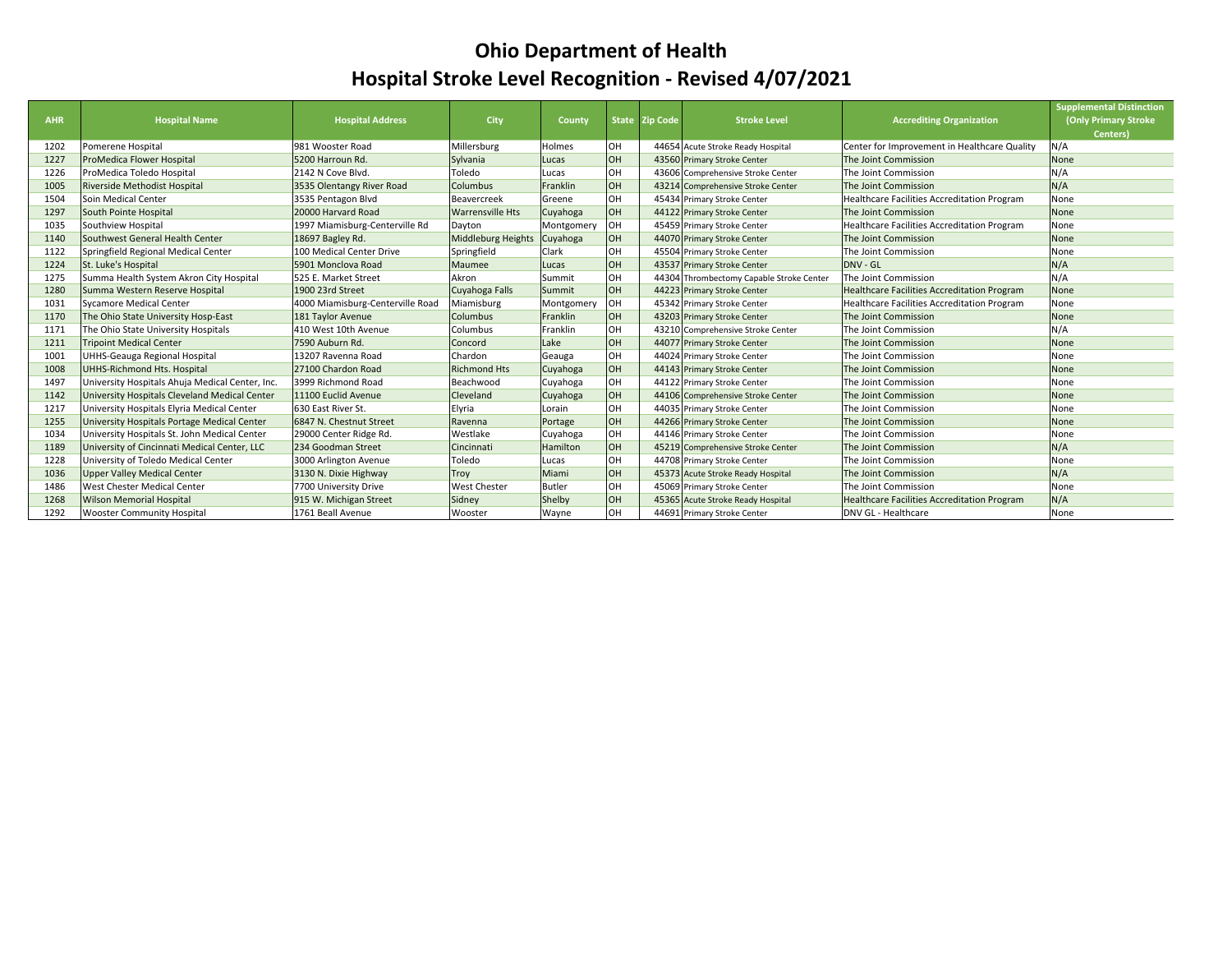## **Ohio Department of Health Hospital Stroke Level Recognition ‐ Revised 4/07/2021**

| <b>AHR</b> | <b>Hospital Name</b>                            | <b>Hospital Address</b>          | City                      | County        |           | State Zip Code | <b>Stroke Level</b>                      | <b>Accrediting Organization</b>                    | <b>Supplemental Distinction</b><br>(Only Primary Stroke<br>Centers) |
|------------|-------------------------------------------------|----------------------------------|---------------------------|---------------|-----------|----------------|------------------------------------------|----------------------------------------------------|---------------------------------------------------------------------|
| 1202       | Pomerene Hospital                               | 981 Wooster Road                 | Millersburg               | Holmes        | OH        |                | 44654 Acute Stroke Ready Hospital        | Center for Improvement in Healthcare Quality       | N/A                                                                 |
| 1227       | ProMedica Flower Hospital                       | 5200 Harroun Rd.                 | Sylvania                  | Lucas         | OH        |                | 43560 Primary Stroke Center              | The Joint Commission                               | None                                                                |
| 1226       | ProMedica Toledo Hospital                       | 2142 N Cove Blvd.                | Toledo                    | Lucas         | OH        |                | 43606 Comprehensive Stroke Center        | The Joint Commission                               | N/A                                                                 |
| 1005       | Riverside Methodist Hospital                    | 3535 Olentangy River Road        | Columbus                  | Franklin      | <b>OH</b> |                | 43214 Comprehensive Stroke Center        | The Joint Commission                               | N/A                                                                 |
| 1504       | Soin Medical Center                             | 3535 Pentagon Blvd               | Beavercreek               | Greene        | OH        |                | 45434 Primary Stroke Center              | Healthcare Facilities Accreditation Program        | None                                                                |
| 1297       | South Pointe Hospital                           | 20000 Harvard Road               | <b>Warrensville Hts</b>   | Cuyahoga      | <b>OH</b> |                | 44122 Primary Stroke Center              | The Joint Commission                               | None                                                                |
| 1035       | Southview Hospital                              | 1997 Miamisburg-Centerville Rd   | Dayton                    | Montgomery    | OH        |                | 45459 Primary Stroke Center              | Healthcare Facilities Accreditation Program        | None                                                                |
| 1140       | Southwest General Health Center                 | 18697 Bagley Rd.                 | <b>Middleburg Heights</b> | Cuyahoga      | <b>OH</b> |                | 44070 Primary Stroke Center              | The Joint Commission                               | None                                                                |
| 1122       | Springfield Regional Medical Center             | 100 Medical Center Drive         | Springfield               | Clark         | OH        |                | 45504 Primary Stroke Center              | The Joint Commission                               | None                                                                |
| 1224       | St. Luke's Hospital                             | 5901 Monclova Road               | Maumee                    | Lucas         | <b>OH</b> |                | 43537 Primary Stroke Center              | DNV - GL                                           | N/A                                                                 |
| 1275       | Summa Health System Akron City Hospital         | 525 E. Market Street             | Akron                     | Summit        | OH        |                | 44304 Thrombectomy Capable Stroke Center | The Joint Commission                               | N/A                                                                 |
| 1280       | Summa Western Reserve Hospital                  | 1900 23rd Street                 | Cuyahoga Falls            | Summit        | <b>OH</b> |                | 44223 Primary Stroke Center              | Healthcare Facilities Accreditation Program        | None                                                                |
| 1031       | Sycamore Medical Center                         | 4000 Miamisburg-Centerville Road | Miamisburg                | Montgomery    | OH        |                | 45342 Primary Stroke Center              | Healthcare Facilities Accreditation Program        | None                                                                |
| 1170       | The Ohio State University Hosp-East             | 181 Taylor Avenue                | <b>Columbus</b>           | Franklin      | <b>OH</b> |                | 43203 Primary Stroke Center              | The Joint Commission                               | None                                                                |
| 1171       | The Ohio State University Hospitals             | 410 West 10th Avenue             | Columbus                  | Franklin      | OH        |                | 43210 Comprehensive Stroke Center        | The Joint Commission                               | N/A                                                                 |
| 1211       | <b>Tripoint Medical Center</b>                  | 7590 Auburn Rd.                  | Concord                   | Lake          | <b>OH</b> |                | 44077 Primary Stroke Center              | The Joint Commission                               | None                                                                |
| 1001       | UHHS-Geauga Regional Hospital                   | 13207 Ravenna Road               | Chardon                   | Geauga        | OH        |                | 44024 Primary Stroke Center              | The Joint Commission                               | None                                                                |
| 1008       | UHHS-Richmond Hts. Hospital                     | 27100 Chardon Road               | <b>Richmond Hts</b>       | Cuyahoga      | <b>OH</b> |                | 44143 Primary Stroke Center              | The Joint Commission                               | None                                                                |
| 1497       | University Hospitals Ahuja Medical Center, Inc. | 3999 Richmond Road               | Beachwood                 | Cuyahoga      | <b>OH</b> |                | 44122 Primary Stroke Center              | The Joint Commission                               | None                                                                |
| 1142       | University Hospitals Cleveland Medical Center   | 11100 Euclid Avenue              | Cleveland                 | Cuyahoga      | <b>OH</b> |                | 44106 Comprehensive Stroke Center        | The Joint Commission                               | None                                                                |
| 1217       | University Hospitals Elyria Medical Center      | 630 East River St.               | Elyria                    | Lorain        | OH        |                | 44035 Primary Stroke Center              | The Joint Commission                               | None                                                                |
| 1255       | University Hospitals Portage Medical Center     | 6847 N. Chestnut Street          | Ravenna                   | Portage       | <b>OH</b> |                | 44266 Primary Stroke Center              | The Joint Commission                               | None                                                                |
| 1034       | University Hospitals St. John Medical Center    | 29000 Center Ridge Rd.           | Westlake                  | Cuyahoga      | OH        |                | 44146 Primary Stroke Center              | The Joint Commission                               | None                                                                |
| 1189       | University of Cincinnati Medical Center, LLC    | 234 Goodman Street               | Cincinnati                | Hamilton      | <b>OH</b> |                | 45219 Comprehensive Stroke Center        | The Joint Commission                               | N/A                                                                 |
| 1228       | University of Toledo Medical Center             | 3000 Arlington Avenue            | Toledo                    | Lucas         | OH        |                | 44708 Primary Stroke Center              | The Joint Commission                               | None                                                                |
| 1036       | <b>Upper Valley Medical Center</b>              | 3130 N. Dixie Highway            | Troy                      | Miami         | OH        |                | 45373 Acute Stroke Ready Hospital        | The Joint Commission                               | N/A                                                                 |
| 1486       | West Chester Medical Center                     | 7700 University Drive            | <b>West Chester</b>       | <b>Butler</b> | <b>OH</b> |                | 45069 Primary Stroke Center              | The Joint Commission                               | None                                                                |
| 1268       | <b>Wilson Memorial Hospital</b>                 | 915 W. Michigan Street           | Sidney                    | Shelby        | <b>OH</b> |                | 45365 Acute Stroke Ready Hospital        | <b>Healthcare Facilities Accreditation Program</b> | N/A                                                                 |
| 1292       | <b>Wooster Community Hospital</b>               | 1761 Beall Avenue                | Wooster                   | Wayne         | OH        |                | 44691 Primary Stroke Center              | DNV GL - Healthcare                                | None                                                                |